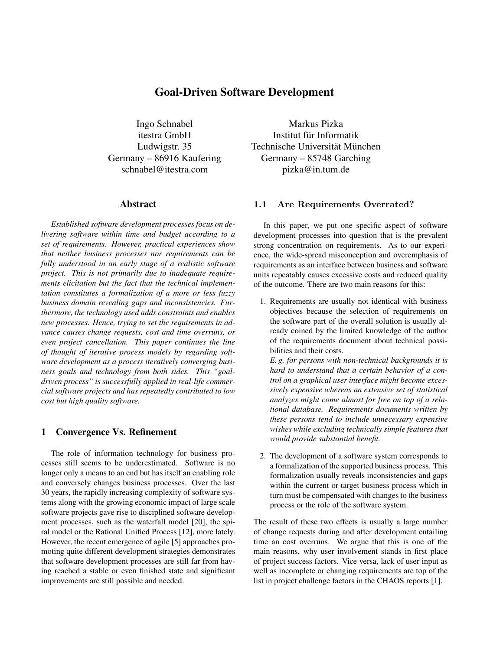# Goal-Driven Software Development

Ingo Schnabel itestra GmbH Ludwigstr. 35 Germany – 86916 Kaufering schnabel@itestra.com

### Abstract

*Established software development processes focus on delivering software within time and budget according to a set of requirements. However, practical experiences show that neither business processes nor requirements can be fully understood in an early stage of a realistic software project. This is not primarily due to inadequate requirements elicitation but the fact that the technical implementation constitutes a formalization of a more or less fuzzy business domain revealing gaps and inconsistencies. Furthermore, the technology used adds constraints and enables new processes. Hence, trying to set the requirements in advance causes change requests, cost and time overruns, or even project cancellation. This paper continues the line of thought of iterative process models by regarding software development as a process iteratively converging business goals and technology from both sides. This "goaldriven process" is successfully applied in real-life commercial software projects and has repeatedly contributed to low cost but high quality software.*

## 1 Convergence Vs. Refinement

The role of information technology for business processes still seems to be underestimated. Software is no longer only a means to an end but has itself an enabling role and conversely changes business processes. Over the last 30 years, the rapidly increasing complexity of software systems along with the growing economic impact of large scale software projects gave rise to disciplined software development processes, such as the waterfall model [20], the spiral model or the Rational Unified Process [12], more lately. However, the recent emergence of agile [5] approaches promoting quite different development strategies demonstrates that software development processes are still far from having reached a stable or even finished state and significant improvements are still possible and needed.

Markus Pizka Institut für Informatik Technische Universität München Germany – 85748 Garching pizka@in.tum.de

# 1.1 Are Requirements Overrated?

In this paper, we put one specific aspect of software development processes into question that is the prevalent strong concentration on requirements. As to our experience, the wide-spread misconception and overemphasis of requirements as an interface between business and software units repeatably causes excessive costs and reduced quality of the outcome. There are two main reasons for this:

1. Requirements are usually not identical with business objectives because the selection of requirements on the software part of the overall solution is usually already coined by the limited knowledge of the author of the requirements document about technical possibilities and their costs.

*E. g. for persons with non-technical backgrounds it is hard to understand that a certain behavior of a control on a graphical user interface might become excessively expensive whereas an extensive set of statistical analyzes might come almost for free on top of a relational database. Requirements documents written by these persons tend to include unnecessary expensive wishes while excluding technically simple features that would provide substantial benefit.*

2. The development of a software system corresponds to a formalization of the supported business process. This formalization usually reveals inconsistencies and gaps within the current or target business process which in turn must be compensated with changes to the business process or the role of the software system.

The result of these two effects is usually a large number of change requests during and after development entailing time an cost overruns. We argue that this is one of the main reasons, why user involvement stands in first place of project success factors. Vice versa, lack of user input as well as incomplete or changing requirements are top of the list in project challenge factors in the CHAOS reports [1].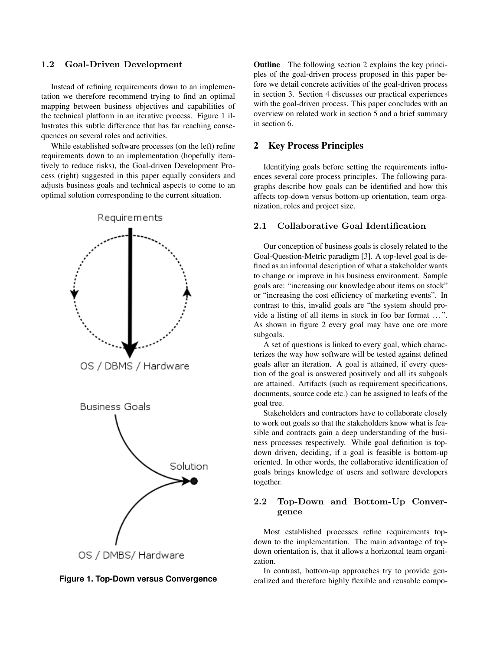#### 1.2 Goal-Driven Development

Instead of refining requirements down to an implementation we therefore recommend trying to find an optimal mapping between business objectives and capabilities of the technical platform in an iterative process. Figure 1 illustrates this subtle difference that has far reaching consequences on several roles and activities.

While established software processes (on the left) refine requirements down to an implementation (hopefully iteratively to reduce risks), the Goal-driven Development Process (right) suggested in this paper equally considers and adjusts business goals and technical aspects to come to an optimal solution corresponding to the current situation.





Outline The following section 2 explains the key principles of the goal-driven process proposed in this paper before we detail concrete activities of the goal-driven process in section 3. Section 4 discusses our practical experiences with the goal-driven process. This paper concludes with an overview on related work in section 5 and a brief summary in section 6.

### 2 Key Process Principles

Identifying goals before setting the requirements influences several core process principles. The following paragraphs describe how goals can be identified and how this affects top-down versus bottom-up orientation, team organization, roles and project size.

# 2.1 Collaborative Goal Identification

Our conception of business goals is closely related to the Goal-Question-Metric paradigm [3]. A top-level goal is defined as an informal description of what a stakeholder wants to change or improve in his business environment. Sample goals are: "increasing our knowledge about items on stock" or "increasing the cost efficiency of marketing events". In contrast to this, invalid goals are "the system should provide a listing of all items in stock in foo bar format ...". As shown in figure 2 every goal may have one ore more subgoals.

A set of questions is linked to every goal, which characterizes the way how software will be tested against defined goals after an iteration. A goal is attained, if every question of the goal is answered positively and all its subgoals are attained. Artifacts (such as requirement specifications, documents, source code etc.) can be assigned to leafs of the goal tree.

Stakeholders and contractors have to collaborate closely to work out goals so that the stakeholders know what is feasible and contracts gain a deep understanding of the business processes respectively. While goal definition is topdown driven, deciding, if a goal is feasible is bottom-up oriented. In other words, the collaborative identification of goals brings knowledge of users and software developers together.

# 2.2 Top-Down and Bottom-Up Convergence

Most established processes refine requirements topdown to the implementation. The main advantage of topdown orientation is, that it allows a horizontal team organization.

In contrast, bottom-up approaches try to provide generalized and therefore highly flexible and reusable compo-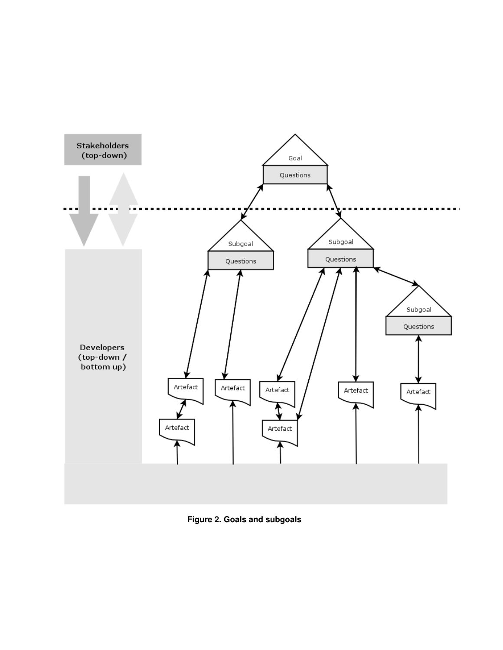

**Figure 2. Goals and subgoals**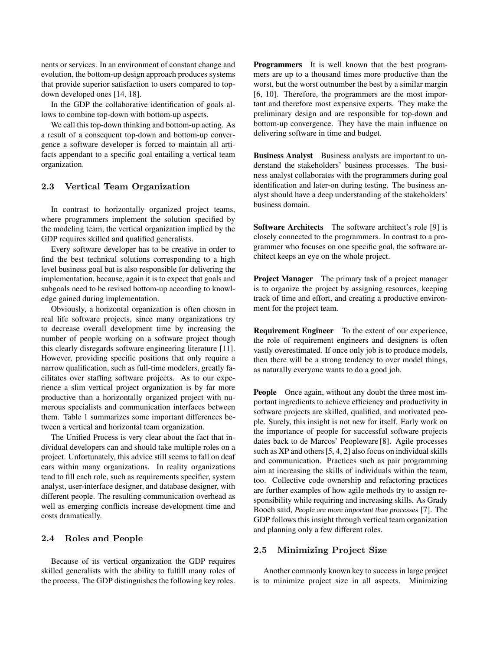nents or services. In an environment of constant change and evolution, the bottom-up design approach produces systems that provide superior satisfaction to users compared to topdown developed ones [14, 18].

In the GDP the collaborative identification of goals allows to combine top-down with bottom-up aspects.

We call this top-down thinking and bottom-up acting. As a result of a consequent top-down and bottom-up convergence a software developer is forced to maintain all artifacts appendant to a specific goal entailing a vertical team organization.

### 2.3 Vertical Team Organization

In contrast to horizontally organized project teams, where programmers implement the solution specified by the modeling team, the vertical organization implied by the GDP requires skilled and qualified generalists.

Every software developer has to be creative in order to find the best technical solutions corresponding to a high level business goal but is also responsible for delivering the implementation, because, again it is to expect that goals and subgoals need to be revised bottom-up according to knowledge gained during implementation.

Obviously, a horizontal organization is often chosen in real life software projects, since many organizations try to decrease overall development time by increasing the number of people working on a software project though this clearly disregards software engineering literature [11]. However, providing specific positions that only require a narrow qualification, such as full-time modelers, greatly facilitates over staffing software projects. As to our experience a slim vertical project organization is by far more productive than a horizontally organized project with numerous specialists and communication interfaces between them. Table 1 summarizes some important differences between a vertical and horizontal team organization.

The Unified Process is very clear about the fact that individual developers can and should take multiple roles on a project. Unfortunately, this advice still seems to fall on deaf ears within many organizations. In reality organizations tend to fill each role, such as requirements specifier, system analyst, user-interface designer, and database designer, with different people. The resulting communication overhead as well as emerging conflicts increase development time and costs dramatically.

#### 2.4 Roles and People

Because of its vertical organization the GDP requires skilled generalists with the ability to fulfill many roles of the process. The GDP distinguishes the following key roles. Programmers It is well known that the best programmers are up to a thousand times more productive than the worst, but the worst outnumber the best by a similar margin [6, 10]. Therefore, the programmers are the most important and therefore most expensive experts. They make the preliminary design and are responsible for top-down and bottom-up convergence. They have the main influence on delivering software in time and budget.

Business Analyst Business analysts are important to understand the stakeholders' business processes. The business analyst collaborates with the programmers during goal identification and later-on during testing. The business analyst should have a deep understanding of the stakeholders' business domain.

Software Architects The software architect's role [9] is closely connected to the programmers. In contrast to a programmer who focuses on one specific goal, the software architect keeps an eye on the whole project.

Project Manager The primary task of a project manager is to organize the project by assigning resources, keeping track of time and effort, and creating a productive environment for the project team.

Requirement Engineer To the extent of our experience, the role of requirement engineers and designers is often vastly overestimated. If once only job is to produce models, then there will be a strong tendency to over model things, as naturally everyone wants to do a good job.

People Once again, without any doubt the three most important ingredients to achieve efficiency and productivity in software projects are skilled, qualified, and motivated people. Surely, this insight is not new for itself. Early work on the importance of people for successful software projects dates back to de Marcos' Peopleware [8]. Agile processes such as XP and others [5, 4, 2] also focus on individual skills and communication. Practices such as pair programming aim at increasing the skills of individuals within the team, too. Collective code ownership and refactoring practices are further examples of how agile methods try to assign responsibility while requiring and increasing skills. As Grady Booch said, People are more important than processes [7]. The GDP follows this insight through vertical team organization and planning only a few different roles.

### 2.5 Minimizing Project Size

Another commonly known key to success in large project is to minimize project size in all aspects. Minimizing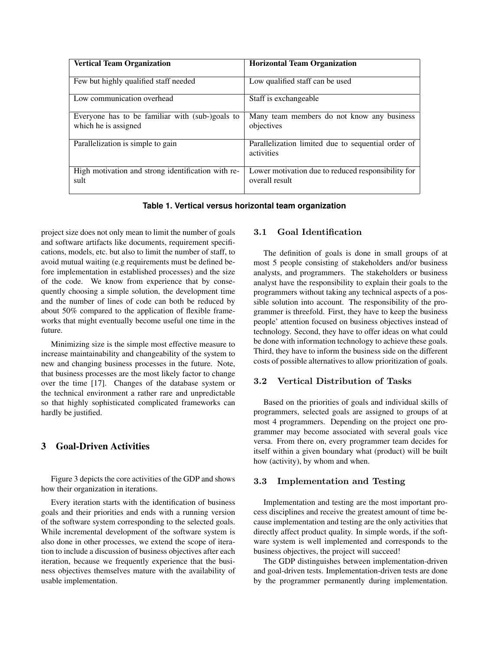| <b>Vertical Team Organization</b>                                       | <b>Horizontal Team Organization</b>                                  |
|-------------------------------------------------------------------------|----------------------------------------------------------------------|
| Few but highly qualified staff needed                                   | Low qualified staff can be used                                      |
| Low communication overhead                                              | Staff is exchangeable.                                               |
| Everyone has to be familiar with (sub-)goals to<br>which he is assigned | Many team members do not know any business<br>objectives             |
| Parallelization is simple to gain                                       | Parallelization limited due to sequential order of<br>activities     |
| High motivation and strong identification with re-<br>sult              | Lower motivation due to reduced responsibility for<br>overall result |

**Table 1. Vertical versus horizontal team organization**

project size does not only mean to limit the number of goals and software artifacts like documents, requirement specifications, models, etc. but also to limit the number of staff, to avoid mutual waiting (e.g requirements must be defined before implementation in established processes) and the size of the code. We know from experience that by consequently choosing a simple solution, the development time and the number of lines of code can both be reduced by about 50% compared to the application of flexible frameworks that might eventually become useful one time in the future.

Minimizing size is the simple most effective measure to increase maintainability and changeability of the system to new and changing business processes in the future. Note, that business processes are the most likely factor to change over the time [17]. Changes of the database system or the technical environment a rather rare and unpredictable so that highly sophisticated complicated frameworks can hardly be justified.

# 3 Goal-Driven Activities

Figure 3 depicts the core activities of the GDP and shows how their organization in iterations.

Every iteration starts with the identification of business goals and their priorities and ends with a running version of the software system corresponding to the selected goals. While incremental development of the software system is also done in other processes, we extend the scope of iteration to include a discussion of business objectives after each iteration, because we frequently experience that the business objectives themselves mature with the availability of usable implementation.

# 3.1 Goal Identification

The definition of goals is done in small groups of at most 5 people consisting of stakeholders and/or business analysts, and programmers. The stakeholders or business analyst have the responsibility to explain their goals to the programmers without taking any technical aspects of a possible solution into account. The responsibility of the programmer is threefold. First, they have to keep the business people' attention focused on business objectives instead of technology. Second, they have to offer ideas on what could be done with information technology to achieve these goals. Third, they have to inform the business side on the different costs of possible alternatives to allow prioritization of goals.

#### 3.2 Vertical Distribution of Tasks

Based on the priorities of goals and individual skills of programmers, selected goals are assigned to groups of at most 4 programmers. Depending on the project one programmer may become associated with several goals vice versa. From there on, every programmer team decides for itself within a given boundary what (product) will be built how (activity), by whom and when.

#### 3.3 Implementation and Testing

Implementation and testing are the most important process disciplines and receive the greatest amount of time because implementation and testing are the only activities that directly affect product quality. In simple words, if the software system is well implemented and corresponds to the business objectives, the project will succeed!

The GDP distinguishes between implementation-driven and goal-driven tests. Implementation-driven tests are done by the programmer permanently during implementation.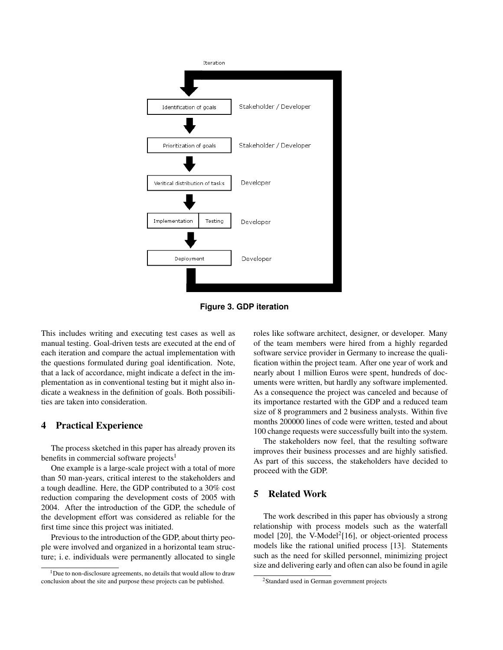

**Figure 3. GDP iteration**

This includes writing and executing test cases as well as manual testing. Goal-driven tests are executed at the end of each iteration and compare the actual implementation with the questions formulated during goal identification. Note, that a lack of accordance, might indicate a defect in the implementation as in conventional testing but it might also indicate a weakness in the definition of goals. Both possibilities are taken into consideration.

## 4 Practical Experience

The process sketched in this paper has already proven its benefits in commercial software projects $<sup>1</sup>$ </sup>

One example is a large-scale project with a total of more than 50 man-years, critical interest to the stakeholders and a tough deadline. Here, the GDP contributed to a 30% cost reduction comparing the development costs of 2005 with 2004. After the introduction of the GDP, the schedule of the development effort was considered as reliable for the first time since this project was initiated.

Previous to the introduction of the GDP, about thirty people were involved and organized in a horizontal team structure; i. e. individuals were permanently allocated to single roles like software architect, designer, or developer. Many of the team members were hired from a highly regarded software service provider in Germany to increase the qualification within the project team. After one year of work and nearly about 1 million Euros were spent, hundreds of documents were written, but hardly any software implemented. As a consequence the project was canceled and because of its importance restarted with the GDP and a reduced team size of 8 programmers and 2 business analysts. Within five months 200000 lines of code were written, tested and about 100 change requests were successfully built into the system.

The stakeholders now feel, that the resulting software improves their business processes and are highly satisfied. As part of this success, the stakeholders have decided to proceed with the GDP.

# 5 Related Work

The work described in this paper has obviously a strong relationship with process models such as the waterfall model [20], the V-Model<sup>2</sup>[16], or object-oriented process models like the rational unified process [13]. Statements such as the need for skilled personnel, minimizing project size and delivering early and often can also be found in agile

<sup>&</sup>lt;sup>1</sup>Due to non-disclosure agreements, no details that would allow to draw conclusion about the site and purpose these projects can be published.

<sup>2</sup>Standard used in German government projects